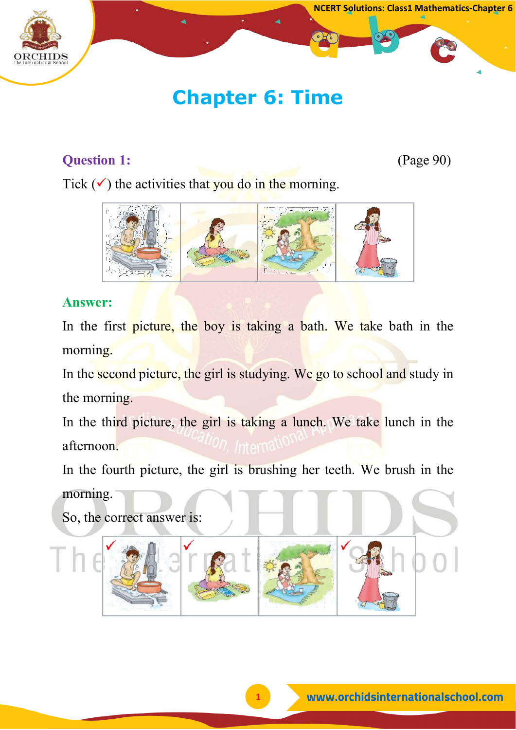

# **Chapter 6: Time**

# **Question 1:** (Page 90)

Tick  $(\checkmark)$  the activities that you do in the morning.



## **Answer:**

In the first picture, the boy is taking a bath. We take bath in the morning.

In the second picture, the girl is studying. We go to school and study in the morning.

In the third picture, the girl is taking a lunch. We take lunch in the afternoon.

In the fourth picture, the girl is brushing her teeth. We brush in the morning.

So, the correct answer is: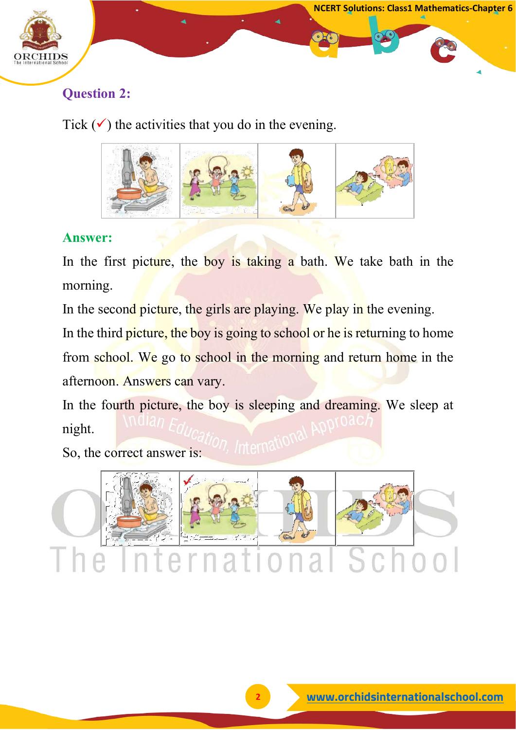

# **Question 2:**

Tick  $(\checkmark)$  the activities that you do in the evening.



## **Answer:**

In the first picture, the boy is taking a bath. We take bath in the morning.

In the second picture, the girls are playing. We play in the evening.

In the third picture, the boy is going to school or he is returning to home from school. We go to school in the morning and return home in the afternoon. Answers can vary.

In the fourth picture, the boy is sleeping and dreaming. We sleep at night.

So, the correct answer is:

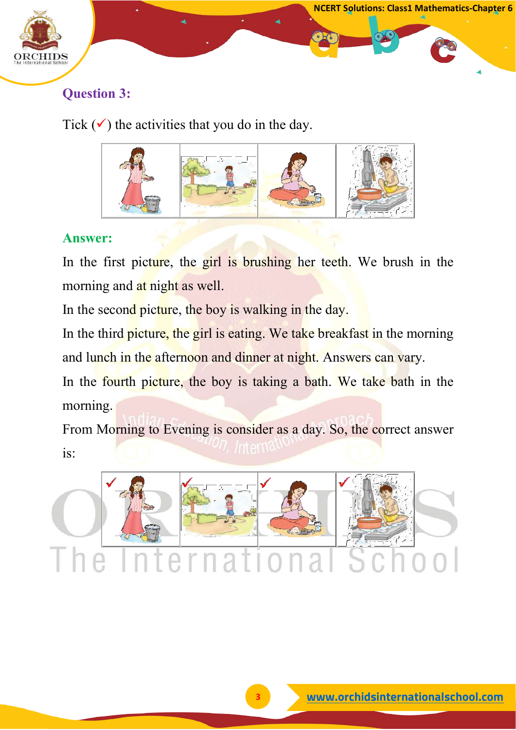

# **Question 3:**

Tick  $(\checkmark)$  the activities that you do in the day.



## **Answer:**

In the first picture, the girl is brushing her teeth. We brush in the morning and at night as well.

In the second picture, the boy is walking in the day.

In the third picture, the girl is eating. We take breakfast in the morning and lunch in the afternoon and dinner at night. Answers can vary.

In the fourth picture, the boy is taking a bath. We take bath in the morning.

From Morning to Evening is consider as a day. So, the correct answer is:

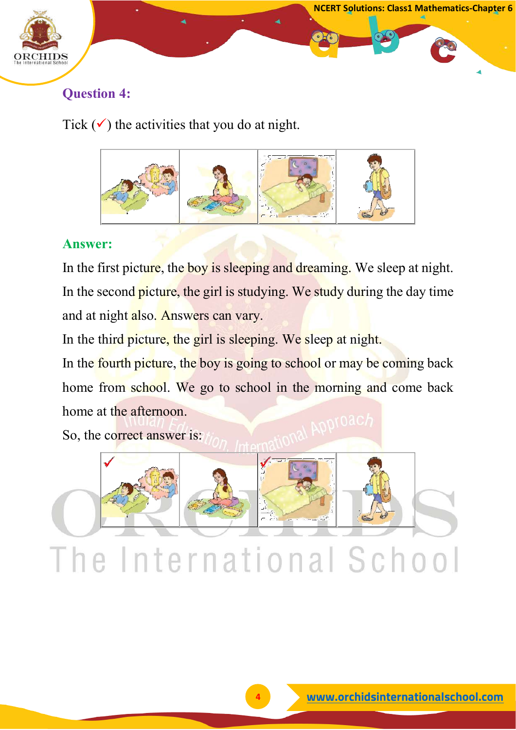

## **Question 4:**

Tick  $(\checkmark)$  the activities that you do at night.



#### **Answer:**

In the first picture, the boy is sleeping and dreaming. We sleep at night. In the second picture, the girl is studying. We study during the day time and at night also. Answers can vary.

In the third picture, the girl is sleeping. We sleep at night.

In the fourth picture, the boy is going to school or may be coming back home from school. We go to school in the morning and come back home at the afternoon.

So, the correct answer is:

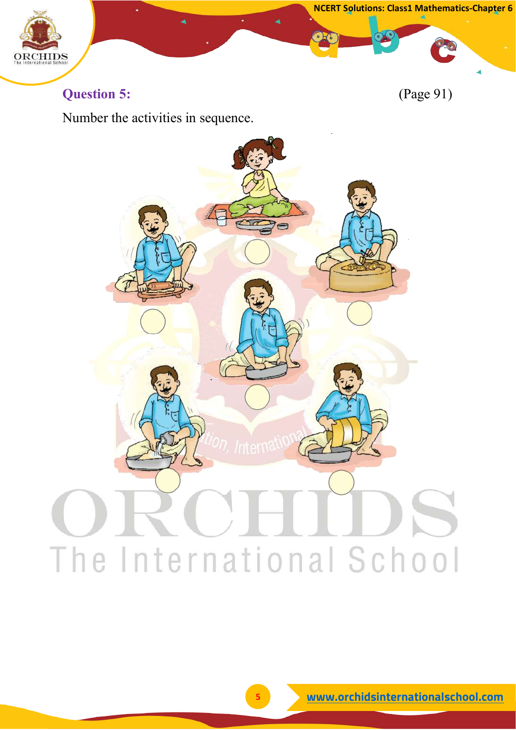

**Question 5:** (Page 91)

Number the activities in sequence.

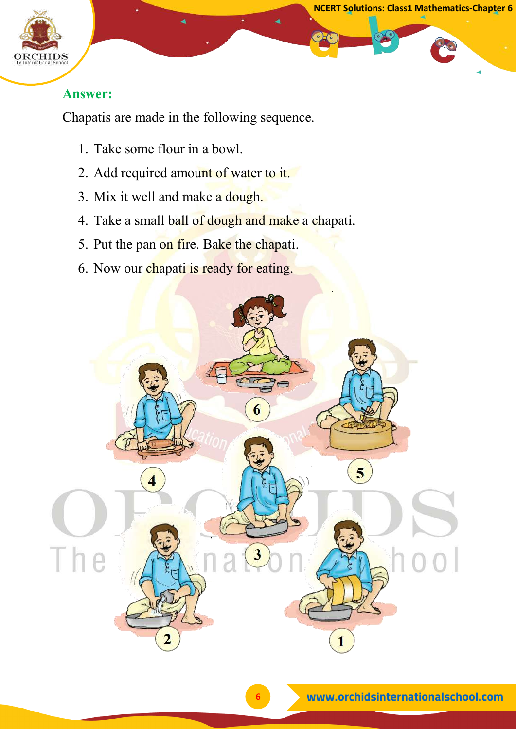

#### **Answer:**

Chapatis are made in the following sequence.

- 1. Take some flour in a bowl.
- 2. Add required amount of water to it.
- 3. Mix it well and make a dough.
- 4. Take a small ball of dough and make a chapati.
- 5. Put the pan on fire. Bake the chapati.
- 6. Now our chapati is ready for eating.

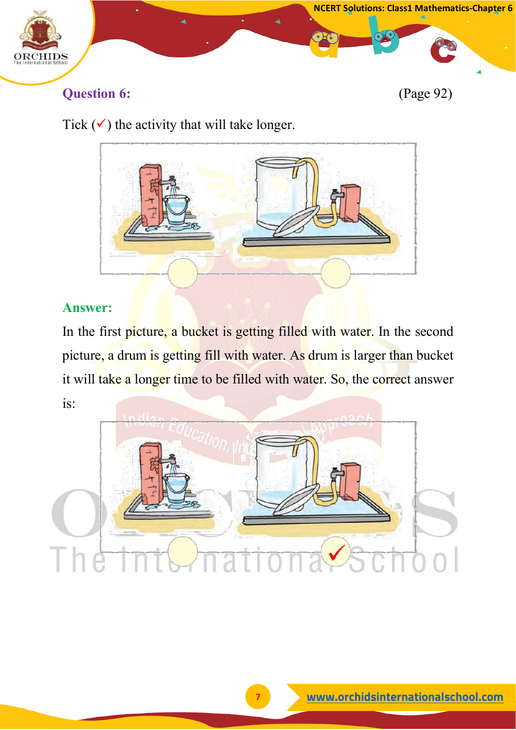

# **Question 6:** (Page 92)

# Tick  $(\checkmark)$  the activity that will take longer.



#### **Answer:**

In the first picture, a bucket is getting filled with water. In the second picture, a drum is getting fill with water. As drum is larger than bucket it will take a longer time to be filled with water. So, the correct answer is: